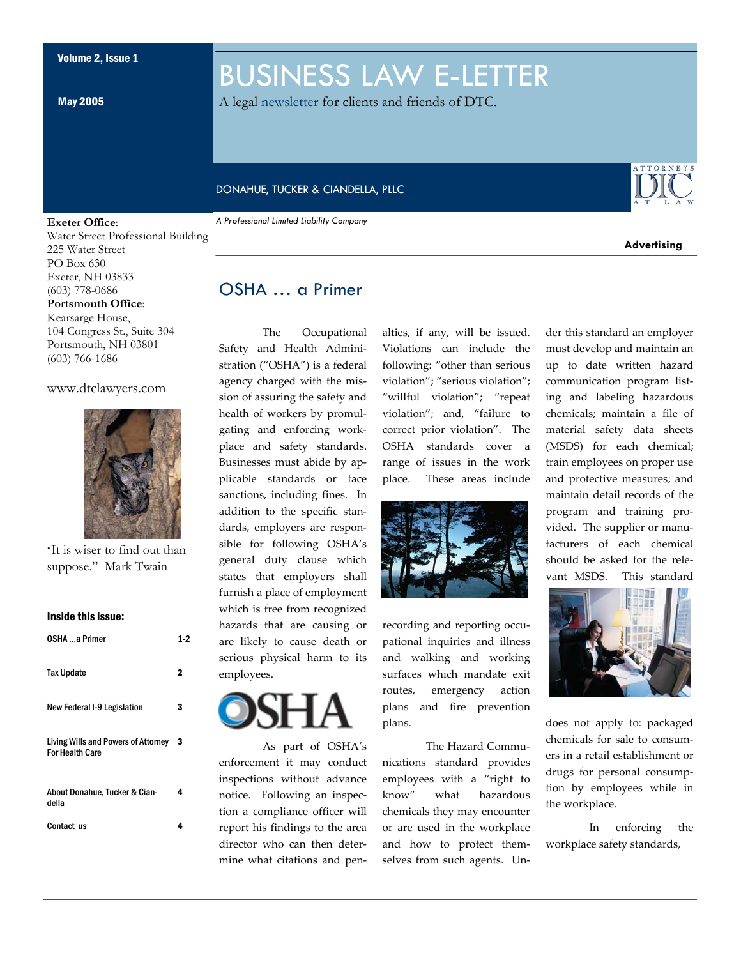May 2005

## BUSINESS LAW E-LETTER

A legal newsletter for clients and friends of DTC.

#### DONAHUE, TUCKER & CIANDELLA, PLLC

#### **Exeter Office**:

Water Street Professional Building 225 Water Street PO Box 630 Exeter, NH 03833 (603) 778-0686 **Portsmouth Office**: Kearsarge House,

104 Congress St., Suite 304 Portsmouth, NH 03801 (603) 766-1686

#### www.dtclawyers.com



"It is wiser to find out than suppose." Mark Twain

#### Inside this issue:

| OSHA a Primer                                                        | 1.2 |
|----------------------------------------------------------------------|-----|
| <b>Tax Update</b>                                                    | 2   |
| New Federal I-9 Legislation                                          | 3   |
| <b>Living Wills and Powers of Attorney</b><br><b>For Health Care</b> | -3  |
| About Donahue, Tucker & Cian-<br>della                               | 4   |
| Contact us                                                           | 4   |

#### *A Professional Limited Liability Company*



**Advertising** 

## OSHA … a Primer

The Occupational Safety and Health Administration ("OSHA") is a federal agency charged with the mission of assuring the safety and health of workers by promulgating and enforcing workplace and safety standards. Businesses must abide by applicable standards or face sanctions, including fines. In addition to the specific standards, employers are responsible for following OSHA's general duty clause which states that employers shall furnish a place of employment which is free from recognized hazards that are causing or are likely to cause death or serious physical harm to its employees.



 As part of OSHA's enforcement it may conduct inspections without advance notice. Following an inspection a compliance officer will report his findings to the area director who can then determine what citations and penalties, if any, will be issued. Violations can include the following: "other than serious violation"; "serious violation"; "willful violation"; "repeat violation"; and, "failure to correct prior violation". The OSHA standards cover a range of issues in the work place. These areas include



recording and reporting occupational inquiries and illness and walking and working surfaces which mandate exit routes, emergency action plans and fire prevention plans.

 The Hazard Communications standard provides employees with a "right to know" what hazardous chemicals they may encounter or are used in the workplace and how to protect themselves from such agents. Under this standard an employer must develop and maintain an up to date written hazard communication program listing and labeling hazardous chemicals; maintain a file of material safety data sheets (MSDS) for each chemical; train employees on proper use and protective measures; and maintain detail records of the program and training provided. The supplier or manufacturers of each chemical should be asked for the relevant MSDS. This standard



does not apply to: packaged chemicals for sale to consumers in a retail establishment or drugs for personal consumption by employees while in the workplace.

 In enforcing the workplace safety standards,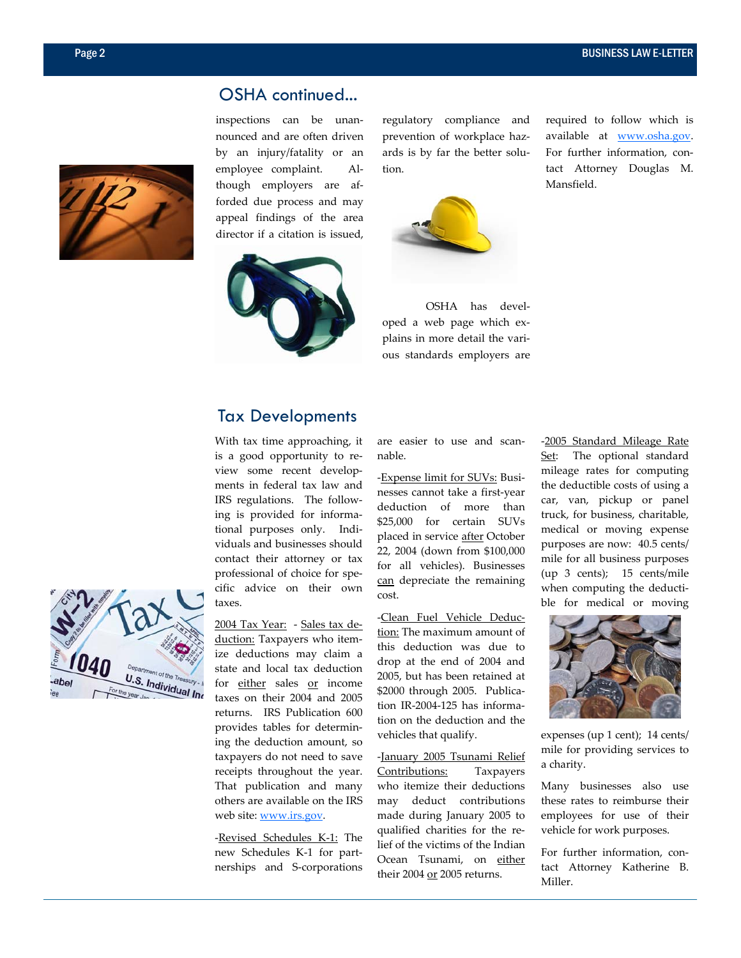

## OSHA continued...

inspections can be unannounced and are often driven by an injury/fatality or an employee complaint. Although employers are afforded due process and may appeal findings of the area director if a citation is issued,



regulatory compliance and prevention of workplace hazards is by far the better solution.



 OSHA has developed a web page which explains in more detail the various standards employers are required to follow which is available at www.osha.gov. For further information, contact Attorney Douglas M. Mansfield.

## Tax Developments

With tax time approaching, it is a good opportunity to review some recent developments in federal tax law and IRS regulations. The following is provided for informational purposes only. Individuals and businesses should contact their attorney or tax professional of choice for specific advice on their own taxes.

2004 Tax Year: - Sales tax deduction: Taxpayers who itemize deductions may claim a state and local tax deduction for either sales or income taxes on their 2004 and 2005 returns. IRS Publication 600 provides tables for determining the deduction amount, so taxpayers do not need to save receipts throughout the year. That publication and many others are available on the IRS web site: www.irs.gov.

-Revised Schedules K-1: The new Schedules K-1 for partnerships and S-corporations

are easier to use and scannable.

-Expense limit for SUVs: Businesses cannot take a first-year deduction of more than \$25,000 for certain SUVs placed in service after October 22, 2004 (down from \$100,000 for all vehicles). Businesses can depreciate the remaining cost.

-Clean Fuel Vehicle Deduction: The maximum amount of this deduction was due to drop at the end of 2004 and 2005, but has been retained at \$2000 through 2005. Publication IR-2004-125 has information on the deduction and the vehicles that qualify.

-January 2005 Tsunami Relief Contributions: Taxpayers who itemize their deductions may deduct contributions made during January 2005 to qualified charities for the relief of the victims of the Indian Ocean Tsunami, on either their 2004 or 2005 returns.

-2005 Standard Mileage Rate Set: The optional standard mileage rates for computing the deductible costs of using a car, van, pickup or panel truck, for business, charitable, medical or moving expense purposes are now: 40.5 cents/ mile for all business purposes (up 3 cents); 15 cents/mile when computing the deductible for medical or moving



expenses (up 1 cent); 14 cents/ mile for providing services to a charity.

Many businesses also use these rates to reimburse their employees for use of their vehicle for work purposes.

For further information, contact Attorney Katherine B. Miller.

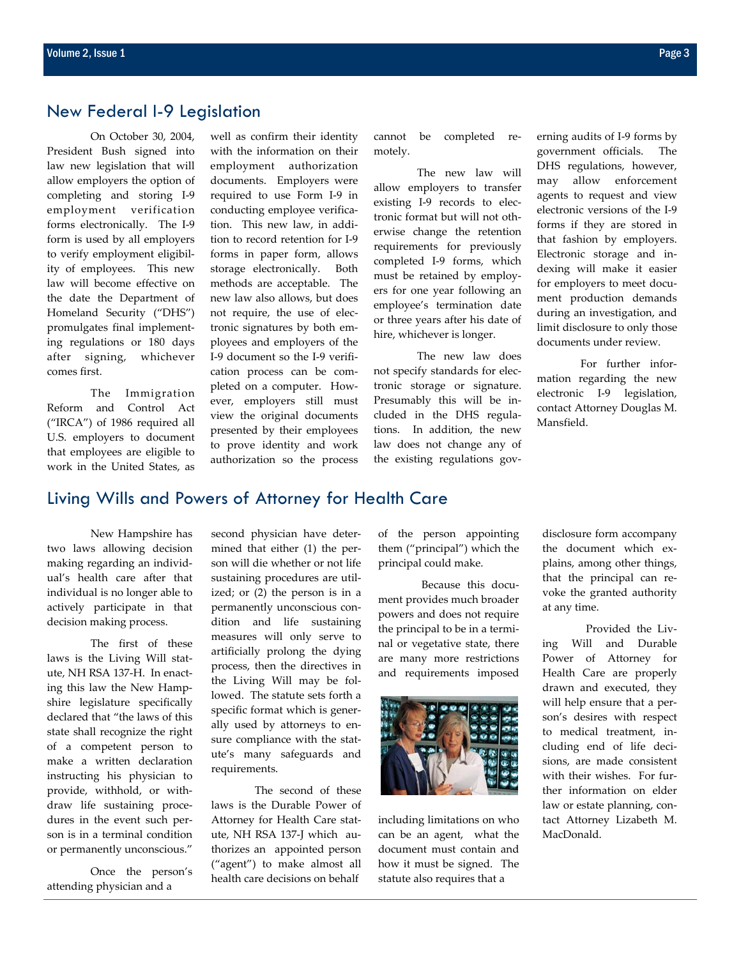### New Federal I-9 Legislation

 On October 30, 2004, President Bush signed into law new legislation that will allow employers the option of completing and storing I-9 employment verification forms electronically. The I-9 form is used by all employers to verify employment eligibility of employees. This new law will become effective on the date the Department of Homeland Security ("DHS") promulgates final implementing regulations or 180 days after signing, whichever comes first.

 The Immigration Reform and Control Act ("IRCA") of 1986 required all U.S. employers to document that employees are eligible to work in the United States, as

well as confirm their identity with the information on their employment authorization documents. Employers were required to use Form I-9 in conducting employee verification. This new law, in addition to record retention for I-9 forms in paper form, allows storage electronically. Both methods are acceptable. The new law also allows, but does not require, the use of electronic signatures by both employees and employers of the I-9 document so the I-9 verification process can be completed on a computer. However, employers still must view the original documents presented by their employees to prove identity and work authorization so the process cannot be completed remotely.

 The new law will allow employers to transfer existing I-9 records to electronic format but will not otherwise change the retention requirements for previously completed I-9 forms, which must be retained by employers for one year following an employee's termination date or three years after his date of hire, whichever is longer.

 The new law does not specify standards for electronic storage or signature. Presumably this will be included in the DHS regulations. In addition, the new law does not change any of the existing regulations governing audits of I-9 forms by government officials. The DHS regulations, however, may allow enforcement agents to request and view electronic versions of the I-9 forms if they are stored in that fashion by employers. Electronic storage and indexing will make it easier for employers to meet document production demands during an investigation, and limit disclosure to only those documents under review.

 For further information regarding the new electronic I-9 legislation, contact Attorney Douglas M. Mansfield.

#### Living Wills and Powers of Attorney for Health Care

 New Hampshire has two laws allowing decision making regarding an individual's health care after that individual is no longer able to actively participate in that decision making process.

 The first of these laws is the Living Will statute, NH RSA 137-H. In enacting this law the New Hampshire legislature specifically declared that "the laws of this state shall recognize the right of a competent person to make a written declaration instructing his physician to provide, withhold, or withdraw life sustaining procedures in the event such person is in a terminal condition or permanently unconscious."

 Once the person's attending physician and a

second physician have determined that either (1) the person will die whether or not life sustaining procedures are utilized; or (2) the person is in a permanently unconscious condition and life sustaining measures will only serve to artificially prolong the dying process, then the directives in the Living Will may be followed. The statute sets forth a specific format which is generally used by attorneys to ensure compliance with the statute's many safeguards and requirements.

 The second of these laws is the Durable Power of Attorney for Health Care statute, NH RSA 137-J which authorizes an appointed person ("agent") to make almost all health care decisions on behalf

of the person appointing them ("principal") which the principal could make.

 Because this document provides much broader powers and does not require the principal to be in a terminal or vegetative state, there are many more restrictions and requirements imposed



including limitations on who can be an agent, what the document must contain and how it must be signed. The statute also requires that a

disclosure form accompany the document which explains, among other things, that the principal can revoke the granted authority at any time.

 Provided the Living Will and Durable Power of Attorney for Health Care are properly drawn and executed, they will help ensure that a person's desires with respect to medical treatment, including end of life decisions, are made consistent with their wishes. For further information on elder law or estate planning, contact Attorney Lizabeth M. MacDonald.